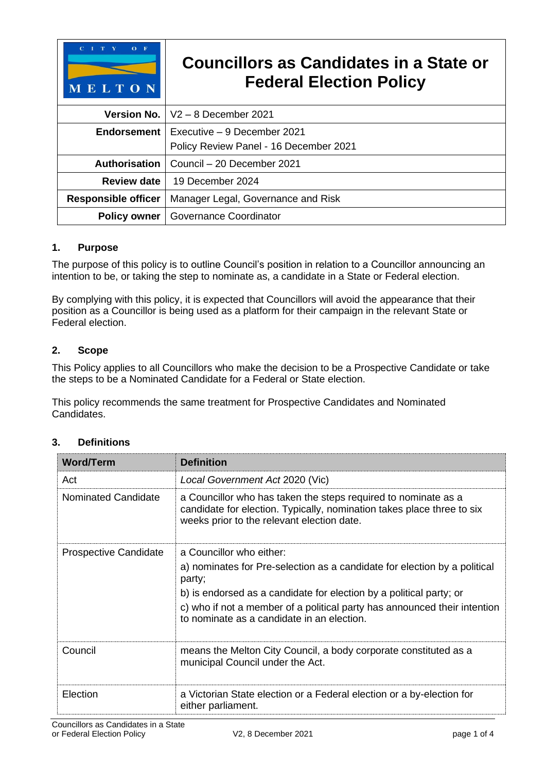| $O$ F<br>$C-I$<br>MELTON   | Councillors as Candidates in a State or<br><b>Federal Election Policy</b> |
|----------------------------|---------------------------------------------------------------------------|
| <b>Version No.</b>         | $V2 - 8$ December 2021                                                    |
| <b>Endorsement</b>         | Executive – 9 December 2021                                               |
|                            | Policy Review Panel - 16 December 2021                                    |
| Authorisation              | Council - 20 December 2021                                                |
| <b>Review date</b>         | 19 December 2024                                                          |
| <b>Responsible officer</b> | Manager Legal, Governance and Risk                                        |
| <b>Policy owner</b>        | <b>Governance Coordinator</b>                                             |

## **1. Purpose**

The purpose of this policy is to outline Council's position in relation to a Councillor announcing an intention to be, or taking the step to nominate as, a candidate in a State or Federal election.

By complying with this policy, it is expected that Councillors will avoid the appearance that their position as a Councillor is being used as a platform for their campaign in the relevant State or Federal election.

### **2. Scope**

This Policy applies to all Councillors who make the decision to be a Prospective Candidate or take the steps to be a Nominated Candidate for a Federal or State election.

This policy recommends the same treatment for Prospective Candidates and Nominated Candidates.

| <b>Word/Term</b>             | <b>Definition</b>                                                                                                                                                                      |
|------------------------------|----------------------------------------------------------------------------------------------------------------------------------------------------------------------------------------|
| Act                          | Local Government Act 2020 (Vic)                                                                                                                                                        |
| Nominated Candidate          | a Councillor who has taken the steps required to nominate as a<br>candidate for election. Typically, nomination takes place three to six<br>weeks prior to the relevant election date. |
| <b>Prospective Candidate</b> | a Councillor who either:                                                                                                                                                               |
|                              | a) nominates for Pre-selection as a candidate for election by a political<br>party;                                                                                                    |
|                              | b) is endorsed as a candidate for election by a political party; or                                                                                                                    |
|                              | c) who if not a member of a political party has announced their intention<br>to nominate as a candidate in an election.                                                                |
| Council                      | means the Melton City Council, a body corporate constituted as a<br>municipal Council under the Act.                                                                                   |
| Election                     | a Victorian State election or a Federal election or a by-election for<br>either parliament.                                                                                            |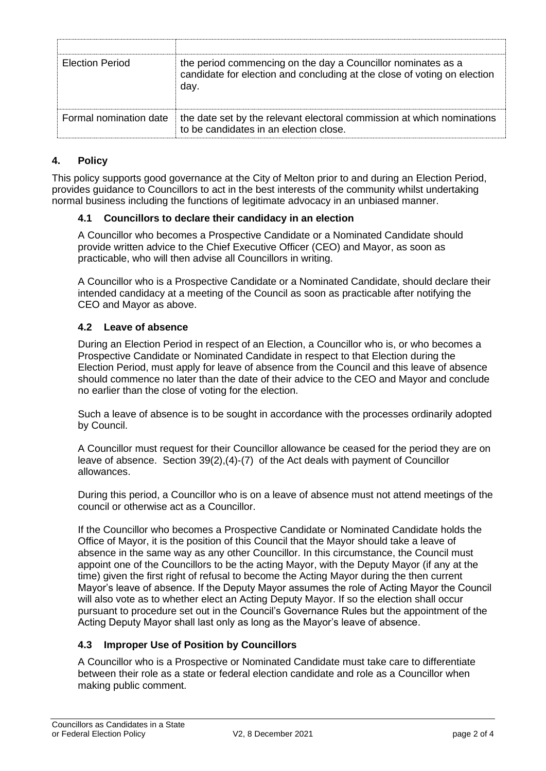| <b>Election Period</b> | the period commencing on the day a Councillor nominates as a<br>candidate for election and concluding at the close of voting on election<br>day. |
|------------------------|--------------------------------------------------------------------------------------------------------------------------------------------------|
| Formal nomination date | the date set by the relevant electoral commission at which nominations<br>to be candidates in an election close.                                 |

## **4. Policy**

This policy supports good governance at the City of Melton prior to and during an Election Period, provides guidance to Councillors to act in the best interests of the community whilst undertaking normal business including the functions of legitimate advocacy in an unbiased manner.

#### **4.1 Councillors to declare their candidacy in an election**

A Councillor who becomes a Prospective Candidate or a Nominated Candidate should provide written advice to the Chief Executive Officer (CEO) and Mayor, as soon as practicable, who will then advise all Councillors in writing.

A Councillor who is a Prospective Candidate or a Nominated Candidate, should declare their intended candidacy at a meeting of the Council as soon as practicable after notifying the CEO and Mayor as above.

### **4.2 Leave of absence**

During an Election Period in respect of an Election, a Councillor who is, or who becomes a Prospective Candidate or Nominated Candidate in respect to that Election during the Election Period, must apply for leave of absence from the Council and this leave of absence should commence no later than the date of their advice to the CEO and Mayor and conclude no earlier than the close of voting for the election.

Such a leave of absence is to be sought in accordance with the processes ordinarily adopted by Council.

A Councillor must request for their Councillor allowance be ceased for the period they are on leave of absence. Section 39(2),(4)-(7) of the Act deals with payment of Councillor allowances.

During this period, a Councillor who is on a leave of absence must not attend meetings of the council or otherwise act as a Councillor.

If the Councillor who becomes a Prospective Candidate or Nominated Candidate holds the Office of Mayor, it is the position of this Council that the Mayor should take a leave of absence in the same way as any other Councillor. In this circumstance, the Council must appoint one of the Councillors to be the acting Mayor, with the Deputy Mayor (if any at the time) given the first right of refusal to become the Acting Mayor during the then current Mayor's leave of absence. If the Deputy Mayor assumes the role of Acting Mayor the Council will also vote as to whether elect an Acting Deputy Mayor. If so the election shall occur pursuant to procedure set out in the Council's Governance Rules but the appointment of the Acting Deputy Mayor shall last only as long as the Mayor's leave of absence.

#### **4.3 Improper Use of Position by Councillors**

A Councillor who is a Prospective or Nominated Candidate must take care to differentiate between their role as a state or federal election candidate and role as a Councillor when making public comment.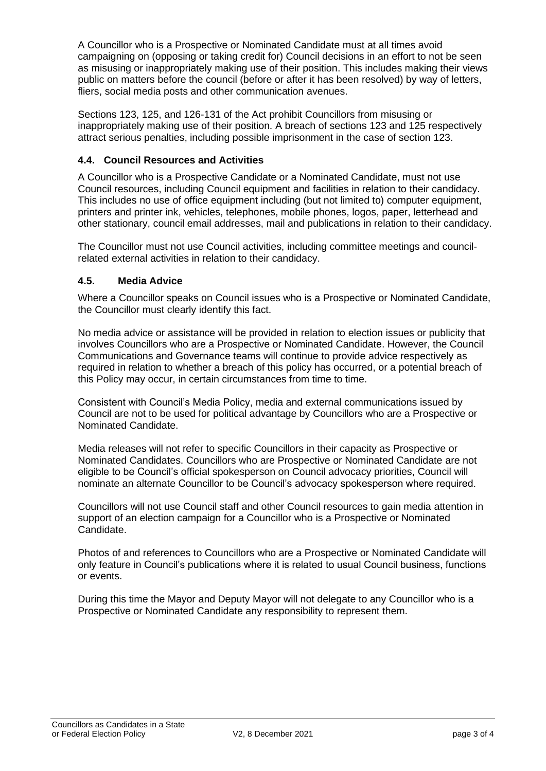A Councillor who is a Prospective or Nominated Candidate must at all times avoid campaigning on (opposing or taking credit for) Council decisions in an effort to not be seen as misusing or inappropriately making use of their position. This includes making their views public on matters before the council (before or after it has been resolved) by way of letters, fliers, social media posts and other communication avenues.

Sections 123, 125, and 126-131 of the Act prohibit Councillors from misusing or inappropriately making use of their position. A breach of sections 123 and 125 respectively attract serious penalties, including possible imprisonment in the case of section 123.

## **4.4. Council Resources and Activities**

A Councillor who is a Prospective Candidate or a Nominated Candidate, must not use Council resources, including Council equipment and facilities in relation to their candidacy. This includes no use of office equipment including (but not limited to) computer equipment, printers and printer ink, vehicles, telephones, mobile phones, logos, paper, letterhead and other stationary, council email addresses, mail and publications in relation to their candidacy.

The Councillor must not use Council activities, including committee meetings and councilrelated external activities in relation to their candidacy.

## **4.5. Media Advice**

Where a Councillor speaks on Council issues who is a Prospective or Nominated Candidate, the Councillor must clearly identify this fact.

No media advice or assistance will be provided in relation to election issues or publicity that involves Councillors who are a Prospective or Nominated Candidate. However, the Council Communications and Governance teams will continue to provide advice respectively as required in relation to whether a breach of this policy has occurred, or a potential breach of this Policy may occur, in certain circumstances from time to time.

Consistent with Council's Media Policy, media and external communications issued by Council are not to be used for political advantage by Councillors who are a Prospective or Nominated Candidate.

Media releases will not refer to specific Councillors in their capacity as Prospective or Nominated Candidates. Councillors who are Prospective or Nominated Candidate are not eligible to be Council's official spokesperson on Council advocacy priorities, Council will nominate an alternate Councillor to be Council's advocacy spokesperson where required.

Councillors will not use Council staff and other Council resources to gain media attention in support of an election campaign for a Councillor who is a Prospective or Nominated Candidate.

Photos of and references to Councillors who are a Prospective or Nominated Candidate will only feature in Council's publications where it is related to usual Council business, functions or events.

During this time the Mayor and Deputy Mayor will not delegate to any Councillor who is a Prospective or Nominated Candidate any responsibility to represent them.